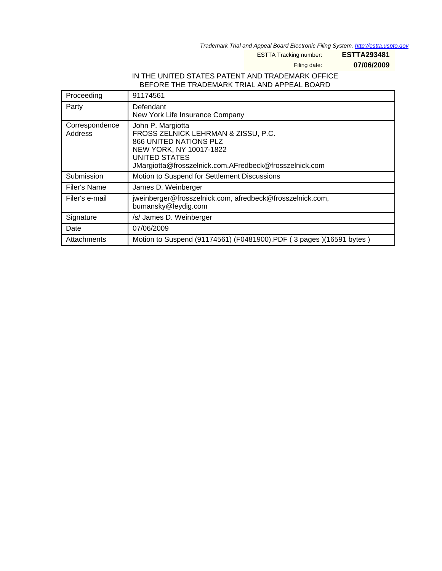Trademark Trial and Appeal Board Electronic Filing System. <http://estta.uspto.gov>

ESTTA Tracking number: **ESTTA293481**

Filing date: **07/06/2009**

## IN THE UNITED STATES PATENT AND TRADEMARK OFFICE BEFORE THE TRADEMARK TRIAL AND APPEAL BOARD

| Proceeding                | 91174561                                                                                                                                                                                        |
|---------------------------|-------------------------------------------------------------------------------------------------------------------------------------------------------------------------------------------------|
| Party                     | Defendant<br>New York Life Insurance Company                                                                                                                                                    |
| Correspondence<br>Address | John P. Margiotta<br>FROSS ZELNICK LEHRMAN & ZISSU, P.C.<br>866 UNITED NATIONS PLZ<br>NEW YORK, NY 10017-1822<br><b>UNITED STATES</b><br>JMargiotta@frosszelnick.com,AFredbeck@frosszelnick.com |
| Submission                | Motion to Suspend for Settlement Discussions                                                                                                                                                    |
| Filer's Name              | James D. Weinberger                                                                                                                                                                             |
| Filer's e-mail            | jweinberger@frosszelnick.com, afredbeck@frosszelnick.com,<br>bumansky@leydig.com                                                                                                                |
| Signature                 | /s/ James D. Weinberger                                                                                                                                                                         |
| Date                      | 07/06/2009                                                                                                                                                                                      |
| Attachments               | Motion to Suspend (91174561) (F0481900).PDF (3 pages) (16591 bytes)                                                                                                                             |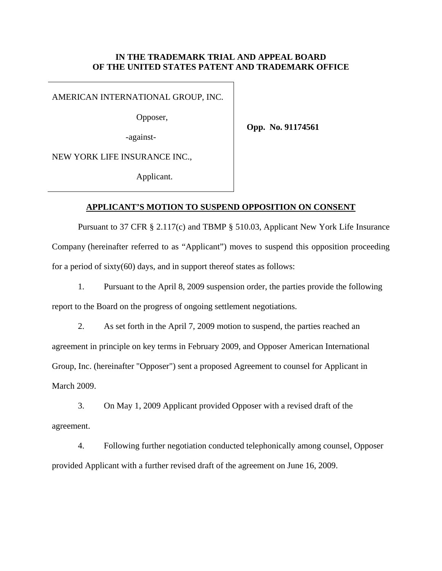## **IN THE TRADEMARK TRIAL AND APPEAL BOARD OF THE UNITED STATES PATENT AND TRADEMARK OFFICE**

AMERICAN INTERNATIONAL GROUP, INC.

Opposer,

**Opp. No. 91174561** 

-against-

NEW YORK LIFE INSURANCE INC.,

Applicant.

## **APPLICANT'S MOTION TO SUSPEND OPPOSITION ON CONSENT**

Pursuant to 37 CFR § 2.117(c) and TBMP § 510.03, Applicant New York Life Insurance Company (hereinafter referred to as "Applicant") moves to suspend this opposition proceeding for a period of sixty(60) days, and in support thereof states as follows:

1. Pursuant to the April 8, 2009 suspension order, the parties provide the following report to the Board on the progress of ongoing settlement negotiations.

2. As set forth in the April 7, 2009 motion to suspend, the parties reached an agreement in principle on key terms in February 2009, and Opposer American International Group, Inc. (hereinafter "Opposer") sent a proposed Agreement to counsel for Applicant in March 2009.

3. On May 1, 2009 Applicant provided Opposer with a revised draft of the agreement.

4. Following further negotiation conducted telephonically among counsel, Opposer provided Applicant with a further revised draft of the agreement on June 16, 2009.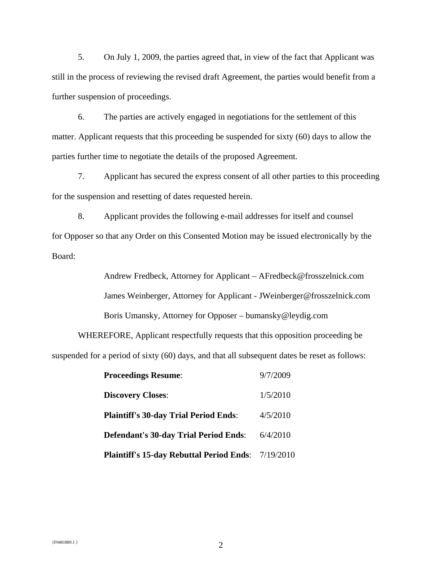5. On July 1, 2009, the parties agreed that, in view of the fact that Applicant was still in the process of reviewing the revised draft Agreement, the parties would benefit from a further suspension of proceedings.

6. The parties are actively engaged in negotiations for the settlement of this matter. Applicant requests that this proceeding be suspended for sixty (60) days to allow the parties further time to negotiate the details of the proposed Agreement.

7. Applicant has secured the express consent of all other parties to this proceeding for the suspension and resetting of dates requested herein.

8. Applicant provides the following e-mail addresses for itself and counsel for Opposer so that any Order on this Consented Motion may be issued electronically by the Board:

> Andrew Fredbeck, Attorney for Applicant – AFredbeck@frosszelnick.com James Weinberger, Attorney for Applicant - JWeinberger@frosszelnick.com Boris Umansky, Attorney for Opposer – bumansky@leydig.com

WHEREFORE, Applicant respectfully requests that this opposition proceeding be suspended for a period of sixty (60) days, and that all subsequent dates be reset as follows:

| <b>Proceedings Resume:</b>                                | 9/7/2009 |
|-----------------------------------------------------------|----------|
| <b>Discovery Closes:</b>                                  | 1/5/2010 |
| <b>Plaintiff's 30-day Trial Period Ends:</b>              | 4/5/2010 |
| <b>Defendant's 30-day Trial Period Ends:</b>              | 6/4/2010 |
| <b>Plaintiff's 15-day Rebuttal Period Ends: 7/19/2010</b> |          |